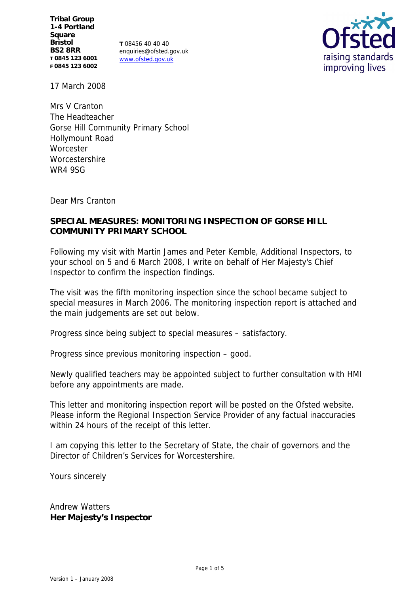**Tribal Group 1-4 Portland Square Bristol BS2 8RR T 0845 123 6001 F 0845 123 6002**

**T** 08456 40 40 40 enquiries@ofsted.gov.uk www.ofsted.gov.uk



17 March 2008

Mrs V Cranton The Headteacher Gorse Hill Community Primary School Hollymount Road **Worcester Worcestershire** WR4 9SG

Dear Mrs Cranton

### **SPECIAL MEASURES: MONITORING INSPECTION OF GORSE HILL COMMUNITY PRIMARY SCHOOL**

Following my visit with Martin James and Peter Kemble, Additional Inspectors, to your school on 5 and 6 March 2008, I write on behalf of Her Majesty's Chief Inspector to confirm the inspection findings.

The visit was the fifth monitoring inspection since the school became subject to special measures in March 2006. The monitoring inspection report is attached and the main judgements are set out below.

Progress since being subject to special measures – satisfactory.

Progress since previous monitoring inspection – good.

Newly qualified teachers may be appointed subject to further consultation with HMI before any appointments are made.

This letter and monitoring inspection report will be posted on the Ofsted website. Please inform the Regional Inspection Service Provider of any factual inaccuracies within 24 hours of the receipt of this letter.

I am copying this letter to the Secretary of State, the chair of governors and the Director of Children's Services for Worcestershire.

Yours sincerely

Andrew Watters **Her Majesty's Inspector**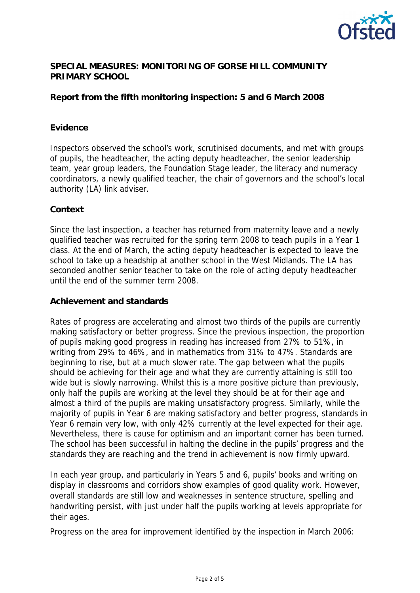

### **SPECIAL MEASURES: MONITORING OF GORSE HILL COMMUNITY PRIMARY SCHOOL**

# **Report from the fifth monitoring inspection: 5 and 6 March 2008**

#### **Evidence**

Inspectors observed the school's work, scrutinised documents, and met with groups of pupils, the headteacher, the acting deputy headteacher, the senior leadership team, year group leaders, the Foundation Stage leader, the literacy and numeracy coordinators, a newly qualified teacher, the chair of governors and the school's local authority (LA) link adviser.

#### **Context**

Since the last inspection, a teacher has returned from maternity leave and a newly qualified teacher was recruited for the spring term 2008 to teach pupils in a Year 1 class. At the end of March, the acting deputy headteacher is expected to leave the school to take up a headship at another school in the West Midlands. The LA has seconded another senior teacher to take on the role of acting deputy headteacher until the end of the summer term 2008.

#### **Achievement and standards**

Rates of progress are accelerating and almost two thirds of the pupils are currently making satisfactory or better progress. Since the previous inspection, the proportion of pupils making good progress in reading has increased from 27% to 51%, in writing from 29% to 46%, and in mathematics from 31% to 47%. Standards are beginning to rise, but at a much slower rate. The gap between what the pupils should be achieving for their age and what they are currently attaining is still too wide but is slowly narrowing. Whilst this is a more positive picture than previously, only half the pupils are working at the level they should be at for their age and almost a third of the pupils are making unsatisfactory progress. Similarly, while the majority of pupils in Year 6 are making satisfactory and better progress, standards in Year 6 remain very low, with only 42% currently at the level expected for their age. Nevertheless, there is cause for optimism and an important corner has been turned. The school has been successful in halting the decline in the pupils' progress and the standards they are reaching and the trend in achievement is now firmly upward.

In each year group, and particularly in Years 5 and 6, pupils' books and writing on display in classrooms and corridors show examples of good quality work. However, overall standards are still low and weaknesses in sentence structure, spelling and handwriting persist, with just under half the pupils working at levels appropriate for their ages.

Progress on the area for improvement identified by the inspection in March 2006: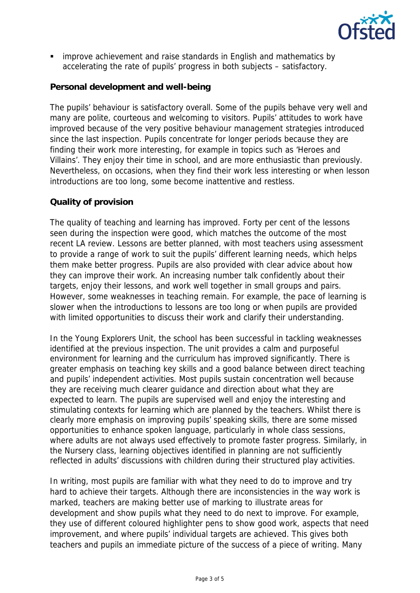

**EXTERN** improve achievement and raise standards in English and mathematics by accelerating the rate of pupils' progress in both subjects – satisfactory.

# **Personal development and well-being**

The pupils' behaviour is satisfactory overall. Some of the pupils behave very well and many are polite, courteous and welcoming to visitors. Pupils' attitudes to work have improved because of the very positive behaviour management strategies introduced since the last inspection. Pupils concentrate for longer periods because they are finding their work more interesting, for example in topics such as 'Heroes and Villains'. They enjoy their time in school, and are more enthusiastic than previously. Nevertheless, on occasions, when they find their work less interesting or when lesson introductions are too long, some become inattentive and restless.

#### **Quality of provision**

The quality of teaching and learning has improved. Forty per cent of the lessons seen during the inspection were good, which matches the outcome of the most recent LA review. Lessons are better planned, with most teachers using assessment to provide a range of work to suit the pupils' different learning needs, which helps them make better progress. Pupils are also provided with clear advice about how they can improve their work. An increasing number talk confidently about their targets, enjoy their lessons, and work well together in small groups and pairs. However, some weaknesses in teaching remain. For example, the pace of learning is slower when the introductions to lessons are too long or when pupils are provided with limited opportunities to discuss their work and clarify their understanding.

In the Young Explorers Unit, the school has been successful in tackling weaknesses identified at the previous inspection. The unit provides a calm and purposeful environment for learning and the curriculum has improved significantly. There is greater emphasis on teaching key skills and a good balance between direct teaching and pupils' independent activities. Most pupils sustain concentration well because they are receiving much clearer guidance and direction about what they are expected to learn. The pupils are supervised well and enjoy the interesting and stimulating contexts for learning which are planned by the teachers. Whilst there is clearly more emphasis on improving pupils' speaking skills, there are some missed opportunities to enhance spoken language, particularly in whole class sessions, where adults are not always used effectively to promote faster progress. Similarly, in the Nursery class, learning objectives identified in planning are not sufficiently reflected in adults' discussions with children during their structured play activities.

In writing, most pupils are familiar with what they need to do to improve and try hard to achieve their targets. Although there are inconsistencies in the way work is marked, teachers are making better use of marking to illustrate areas for development and show pupils what they need to do next to improve. For example, they use of different coloured highlighter pens to show good work, aspects that need improvement, and where pupils' individual targets are achieved. This gives both teachers and pupils an immediate picture of the success of a piece of writing. Many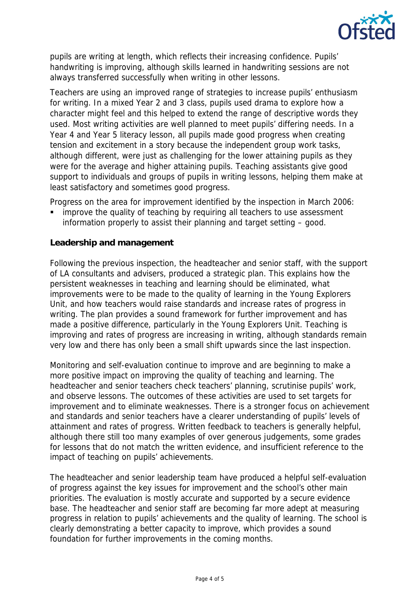

pupils are writing at length, which reflects their increasing confidence. Pupils' handwriting is improving, although skills learned in handwriting sessions are not always transferred successfully when writing in other lessons.

Teachers are using an improved range of strategies to increase pupils' enthusiasm for writing. In a mixed Year 2 and 3 class, pupils used drama to explore how a character might feel and this helped to extend the range of descriptive words they used. Most writing activities are well planned to meet pupils' differing needs. In a Year 4 and Year 5 literacy lesson, all pupils made good progress when creating tension and excitement in a story because the independent group work tasks, although different, were just as challenging for the lower attaining pupils as they were for the average and higher attaining pupils. Teaching assistants give good support to individuals and groups of pupils in writing lessons, helping them make at least satisfactory and sometimes good progress.

Progress on the area for improvement identified by the inspection in March 2006:

 improve the quality of teaching by requiring all teachers to use assessment information properly to assist their planning and target setting – good.

## **Leadership and management**

Following the previous inspection, the headteacher and senior staff, with the support of LA consultants and advisers, produced a strategic plan. This explains how the persistent weaknesses in teaching and learning should be eliminated, what improvements were to be made to the quality of learning in the Young Explorers Unit, and how teachers would raise standards and increase rates of progress in writing. The plan provides a sound framework for further improvement and has made a positive difference, particularly in the Young Explorers Unit. Teaching is improving and rates of progress are increasing in writing, although standards remain very low and there has only been a small shift upwards since the last inspection.

Monitoring and self-evaluation continue to improve and are beginning to make a more positive impact on improving the quality of teaching and learning. The headteacher and senior teachers check teachers' planning, scrutinise pupils' work, and observe lessons. The outcomes of these activities are used to set targets for improvement and to eliminate weaknesses. There is a stronger focus on achievement and standards and senior teachers have a clearer understanding of pupils' levels of attainment and rates of progress. Written feedback to teachers is generally helpful, although there still too many examples of over generous judgements, some grades for lessons that do not match the written evidence, and insufficient reference to the impact of teaching on pupils' achievements.

The headteacher and senior leadership team have produced a helpful self-evaluation of progress against the key issues for improvement and the school's other main priorities. The evaluation is mostly accurate and supported by a secure evidence base. The headteacher and senior staff are becoming far more adept at measuring progress in relation to pupils' achievements and the quality of learning. The school is clearly demonstrating a better capacity to improve, which provides a sound foundation for further improvements in the coming months.